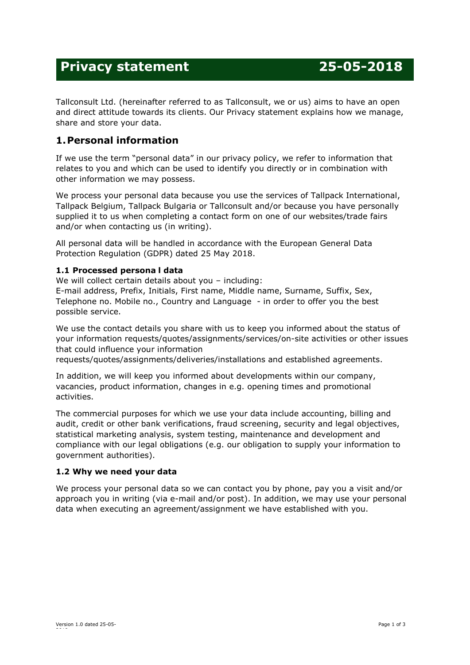# **Privacy statement 25-05-2018**

Tallconsult Ltd. (hereinafter referred to as Tallconsult, we or us) aims to have an open and direct attitude towards its clients. Our Privacy statement explains how we manage, share and store your data.

# **1.Personal information**

If we use the term "personal data" in our privacy policy, we refer to information that relates to you and which can be used to identify you directly or in combination with other information we may possess.

We process your personal data because you use the services of Tallpack International, Tallpack Belgium, Tallpack Bulgaria or Tallconsult and/or because you have personally supplied it to us when completing a contact form on one of our websites/trade fairs and/or when contacting us (in writing).

All personal data will be handled in accordance with the European General Data Protection Regulation (GDPR) dated 25 May 2018.

# **1.1 Processed persona l data**

We will collect certain details about you - including:

E-mail address, Prefix, Initials, First name, Middle name, Surname, Suffix, Sex, Telephone no. Mobile no., Country and Language - in order to offer you the best possible service.

We use the contact details you share with us to keep you informed about the status of your information requests/quotes/assignments/services/on-site activities or other issues that could influence your information

requests/quotes/assignments/deliveries/installations and established agreements.

In addition, we will keep you informed about developments within our company, vacancies, product information, changes in e.g. opening times and promotional activities.

The commercial purposes for which we use your data include accounting, billing and audit, credit or other bank verifications, fraud screening, security and legal objectives, statistical marketing analysis, system testing, maintenance and development and compliance with our legal obligations (e.g. our obligation to supply your information to government authorities).

# **1.2 Why we need your data**

We process your personal data so we can contact you by phone, pay you a visit and/or approach you in writing (via e-mail and/or post). In addition, we may use your personal data when executing an agreement/assignment we have established with you.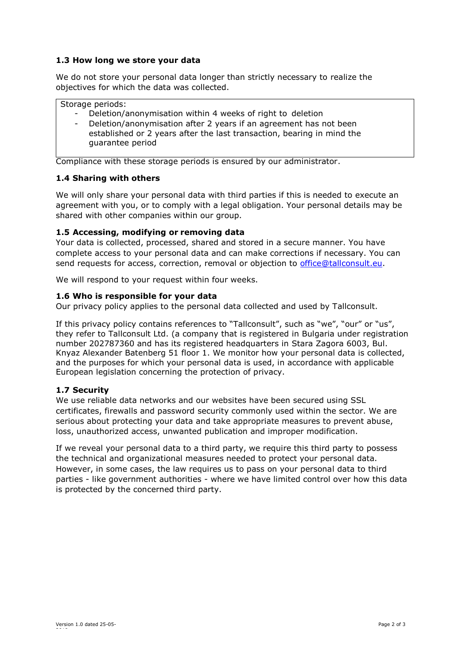## **1.3 How long we store your data**

We do not store your personal data longer than strictly necessary to realize the objectives for which the data was collected.

Storage periods:

- Deletion/anonymisation within 4 weeks of right to deletion
- Deletion/anonymisation after 2 years if an agreement has not been established or 2 years after the last transaction, bearing in mind the guarantee period

Compliance with these storage periods is ensured by our administrator.

#### **1.4 Sharing with others**

We will only share your personal data with third parties if this is needed to execute an agreement with you, or to comply with a legal obligation. Your personal details may be shared with other companies within our group.

## **1.5 Accessing, modifying or removing data**

Your data is collected, processed, shared and stored in a secure manner. You have complete access to your personal data and can make corrections if necessary. You can send requests for access, correction, removal or objection to office@tallconsult.eu.

We will respond to your request within four weeks.

#### **1.6 Who is responsible for your data**

Our privacy policy applies to the personal data collected and used by Tallconsult.

If this privacy policy contains references to "Tallconsult", such as "we", "our" or "us", they refer to Tallconsult Ltd. (a company that is registered in Bulgaria under registration number 202787360 and has its registered headquarters in Stara Zagora 6003, Bul. Knyaz Alexander Batenberg 51 floor 1. We monitor how your personal data is collected, and the purposes for which your personal data is used, in accordance with applicable European legislation concerning the protection of privacy.

#### **1.7 Security**

We use reliable data networks and our websites have been secured using SSL certificates, firewalls and password security commonly used within the sector. We are serious about protecting your data and take appropriate measures to prevent abuse, loss, unauthorized access, unwanted publication and improper modification.

If we reveal your personal data to a third party, we require this third party to possess the technical and organizational measures needed to protect your personal data. However, in some cases, the law requires us to pass on your personal data to third parties - like government authorities - where we have limited control over how this data is protected by the concerned third party.